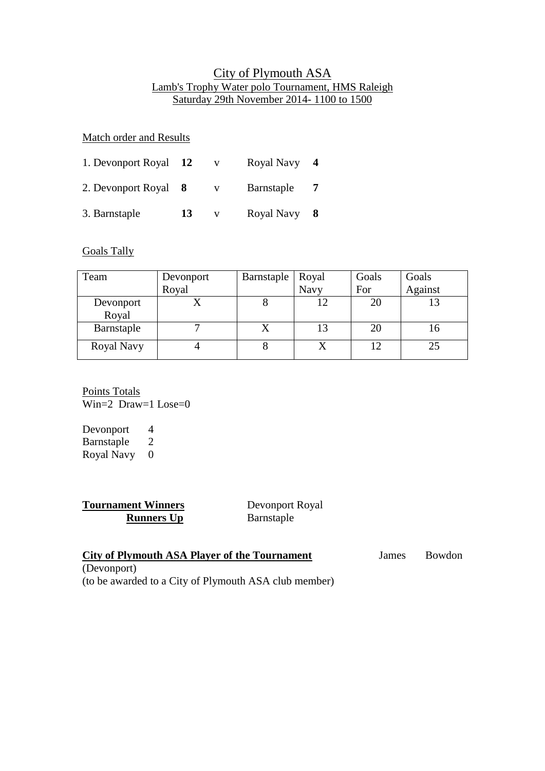## City of Plymouth ASA Lamb's Trophy Water polo Tournament, HMS Raleigh Saturday 29th November 2014- 1100 to 1500

Match order and Results

| 1. Devonport Royal   | <b>12</b> | v | Royal Navy |  |
|----------------------|-----------|---|------------|--|
| 2. Devonport Royal 8 |           | v | Barnstaple |  |
| 3. Barnstaple        | 13        |   | Royal Navy |  |

Goals Tally

| Team       | Devonport | Barnstaple | Royal       | Goals | Goals   |
|------------|-----------|------------|-------------|-------|---------|
|            | Royal     |            | <b>Navy</b> | For   | Against |
| Devonport  |           |            |             |       |         |
| Royal      |           |            |             |       |         |
| Barnstaple |           |            |             |       |         |
| Royal Navy |           |            |             |       | 25      |

Points Totals Win=2 Draw=1 Lose=0

Devonport 4 Barnstaple 2 Royal Navy 0

**Tournament Winners**<br> **Runners Up** Barnstaple **Runners Up** 

| <b>City of Plymouth ASA Player of the Tournament</b>  | James | Bowdon |
|-------------------------------------------------------|-------|--------|
| (Devonport)                                           |       |        |
| (to be awarded to a City of Plymouth ASA club member) |       |        |